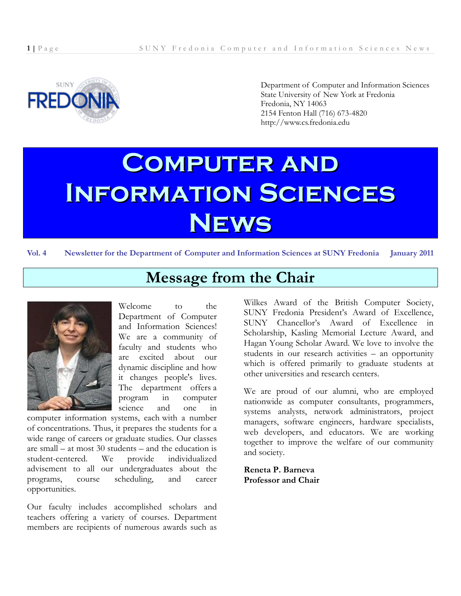

Department of Computer and Information Sciences State University of New York at Fredonia Fredonia, NY 14063 2154 Fenton Hall (716) 673-4820 http://www.cs.fredonia.edu

# **Computer and Information Sciences News**

**Vol. 4 Newsletter for the Department of Computer and Information Sciences at SUNY Fredonia January 2011**

## **Message from the Chair**



Welcome to the Department of Computer and Information Sciences! We are a community of faculty and students who are excited about our dynamic discipline and how it changes people's lives. The department offers a program in computer science and one in

computer information systems, each with a number of concentrations. Thus, it prepares the students for a wide range of careers or graduate studies. Our classes are small – at most 30 students – and the education is student-centered. We provide individualized advisement to all our undergraduates about the programs, course scheduling, and career opportunities.

Our faculty includes accomplished scholars and teachers offering a variety of courses. Department members are recipients of numerous awards such as

Wilkes Award of the British Computer Society, SUNY Fredonia President's Award of Excellence, SUNY Chancellor's Award of Excellence in Scholarship, Kasling Memorial Lecture Award, and Hagan Young Scholar Award. We love to involve the students in our research activities – an opportunity which is offered primarily to graduate students at other universities and research centers.

We are proud of our alumni, who are employed nationwide as computer consultants, programmers, systems analysts, network administrators, project managers, software engineers, hardware specialists, web developers, and educators. We are working together to improve the welfare of our community and society.

**Reneta P. Barneva Professor and Chair**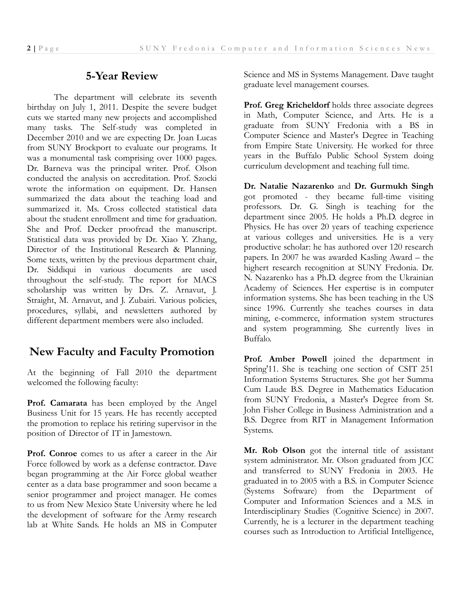### **5-Year Review**

The department will celebrate its seventh birthday on July 1, 2011. Despite the severe budget cuts we started many new projects and accomplished many tasks. The Self-study was completed in December 2010 and we are expecting Dr. Joan Lucas from SUNY Brockport to evaluate our programs. It was a monumental task comprising over 1000 pages. Dr. Barneva was the principal writer. Prof. Olson conducted the analysis on accreditation. Prof. Szocki wrote the information on equipment. Dr. Hansen summarized the data about the teaching load and summarized it. Ms. Cross collected statistical data about the student enrollment and time for graduation. She and Prof. Decker proofread the manuscript. Statistical data was provided by Dr. Xiao Y. Zhang, Director of the Institutional Research & Planning. Some texts, written by the previous department chair, Dr. Siddiqui in various documents are used throughout the self-study. The report for MACS scholarship was written by Drs. Z. Arnavut, J. Straight, M. Arnavut, and J. Zubairi. Various policies, procedures, syllabi, and newsletters authored by different department members were also included.

## **New Faculty and Faculty Promotion**

At the beginning of Fall 2010 the department welcomed the following faculty:

**Prof. Camarata** has been employed by the Angel Business Unit for 15 years. He has recently accepted the promotion to replace his retiring supervisor in the position of Director of IT in Jamestown.

**Prof. Conroe** comes to us after a career in the Air Force followed by work as a defense contractor. Dave began programming at the Air Force global weather center as a data base programmer and soon became a senior programmer and project manager. He comes to us from New Mexico State University where he led the development of software for the Army research lab at White Sands. He holds an MS in Computer

Science and MS in Systems Management. Dave taught graduate level management courses.

**Prof. Greg Kricheldorf** holds three associate degrees in Math, Computer Science, and Arts. He is a graduate from SUNY Fredonia with a BS in Computer Science and Master's Degree in Teaching from Empire State University. He worked for three years in the Buffalo Public School System doing curriculum development and teaching full time.

**Dr. Natalie Nazarenko** and **Dr. Gurmukh Singh** got promoted - they became full-time visiting professors. Dr. G. Singh is teaching for the department since 2005. He holds a Ph.D. degree in Physics. He has over 20 years of teaching experience at various colleges and universities. He is a very productive scholar: he has authored over 120 research papers. In 2007 he was awarded Kasling Award – the highert research recognition at SUNY Fredonia. Dr. N. Nazarenko has a Ph.D. degree from the Ukrainian Academy of Sciences. Her expertise is in computer information systems. She has been teaching in the US since 1996. Currently she teaches courses in data mining, e-commerce, information system structures and system programming. She currently lives in Buffalo.

**Prof. Amber Powell** joined the department in Spring'11. She is teaching one section of CSIT 251 Information Systems Structures. She got her Summa Cum Laude B.S. Degree in Mathematics Education from SUNY Fredonia, a Master's Degree from St. John Fisher College in Business Administration and a B.S. Degree from RIT in Management Information Systems.

**Mr. Rob Olson** got the internal title of assistant system administrator. Mr. Olson graduated from JCC and transferred to SUNY Fredonia in 2003. He graduated in to 2005 with a B.S. in Computer Science (Systems Software) from the Department of Computer and Information Sciences and a M.S. in Interdisciplinary Studies (Cognitive Science) in 2007. Currently, he is a lecturer in the department teaching courses such as Introduction to Artificial Intelligence,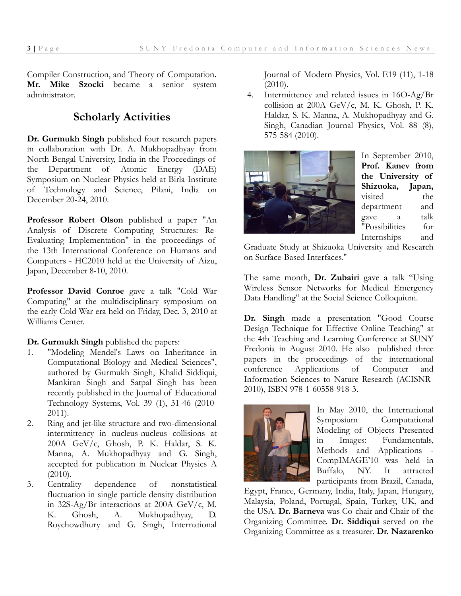Compiler Construction, and Theory of Computation**. Mr. Mike Szocki** became a senior system administrator.

## **Scholarly Activities**

**Dr. Gurmukh Singh** published four research papers in collaboration with Dr. A. Mukhopadhyay from North Bengal University, India in the Proceedings of the Department of Atomic Energy (DAE) Symposium on Nuclear Physics held at Birla Institute of Technology and Science, Pilani, India on December 20-24, 2010.

**Professor Robert Olson** published a paper "An Analysis of Discrete Computing Structures: Re-Evaluating Implementation" in the proceedings of the 13th International Conference on Humans and Computers - HC2010 held at the University of Aizu, Japan, December 8-10, 2010.

**Professor David Conroe** gave a talk "Cold War Computing" at the multidisciplinary symposium on the early Cold War era held on Friday, Dec. 3, 2010 at Williams Center.

**Dr. Gurmukh Singh** published the papers:

- 1. "Modeling Mendel's Laws on Inheritance in Computational Biology and Medical Sciences", authored by Gurmukh Singh, Khalid Siddiqui, Mankiran Singh and Satpal Singh has been recently published in the Journal of Educational Technology Systems, Vol. 39 (1), 31-46 (2010- 2011).
- 2. Ring and jet-like structure and two-dimensional intermittency in nucleus-nucleus collisions at 200A GeV/c, Ghosh, P. K. Haldar, S. K. Manna, A. Mukhopadhyay and G. Singh, accepted for publication in Nuclear Physics A (2010).
- 3. Centrality dependence of nonstatistical fluctuation in single particle density distribution in 32S-Ag/Br interactions at 200A GeV/c, M. K. Ghosh, A. Mukhopadhyay, D. Roychowdhury and G. Singh, International

Journal of Modern Physics, Vol. E19 (11), 1-18 (2010).

4. Intermittency and related issues in 16O-Ag/Br collision at 200A GeV/c, M. K. Ghosh, P. K. Haldar, S. K. Manna, A. Mukhopadhyay and G. Singh, Canadian Journal Physics, Vol. 88 (8), 575-584 (2010).



In September 2010, **Prof. Kanev from the University of Shizuoka, Japan,** visited the department and gave a talk "Possibilities for Internships and

Graduate Study at Shizuoka University and Research on Surface-Based Interfaces."

The same month, **Dr. Zubairi** gave a talk "Using Wireless Sensor Networks for Medical Emergency Data Handling" at the Social Science Colloquium.

**Dr. Singh** made a presentation "Good Course Design Technique for Effective Online Teaching" at the 4th Teaching and Learning Conference at SUNY Fredonia in August 2010. He also published three papers in the proceedings of the international conference Applications of Computer and Information Sciences to Nature Research (ACISNR-2010), ISBN 978-1-60558-918-3.



In May 2010, the International Symposium Computational Modeling of Objects Presented in Images: Fundamentals, Methods and Applications - CompIMAGE'10 was held in Buffalo, NY. It attracted participants from Brazil, Canada,

Egypt, France, Germany, India, Italy, Japan, Hungary, Malaysia, Poland, Portugal, Spain, Turkey, UK, and the USA. **Dr. Barneva** was Co-chair and Chair of the Organizing Committee. **Dr. Siddiqui** served on the Organizing Committee as a treasurer. **Dr. Nazarenko**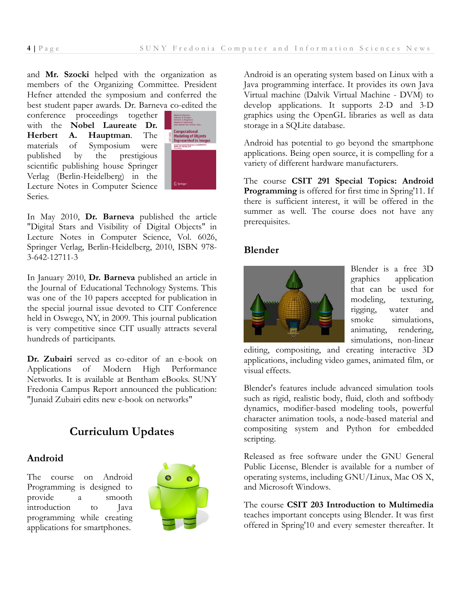and **Mr. Szocki** helped with the organization as members of the Organizing Committee. President Hefner attended the symposium and conferred the best student paper awards. Dr. Barneva co-edited the

conference proceedings together with the **Nobel Laureate Dr. Herbert A. Hauptman**. The materials of Symposium were published by the prestigious scientific publishing house Springer Verlag (Berlin-Heidelberg) in the Lecture Notes in Computer Science Series.



In May 2010, **Dr. Barneva** published the article "Digital Stars and Visibility of Digital Objects" in Lecture Notes in Computer Science, Vol. 6026, Springer Verlag, Berlin-Heidelberg, 2010, ISBN 978- 3-642-12711-3

In January 2010, **Dr. Barneva** published an article in the Journal of Educational Technology Systems. This was one of the 10 papers accepted for publication in the special journal issue devoted to CIT Conference held in Oswego, NY, in 2009. This journal publication is very competitive since CIT usually attracts several hundreds of participants.

**Dr. Zubairi** served as co-editor of an e-book on Applications of Modern High Performance Networks. It is available at Bentham eBooks. SUNY Fredonia Campus Report announced the publication: "Junaid Zubairi edits new e-book on networks"

## **Curriculum Updates**

#### **Android**

The course on Android Programming is designed to provide a smooth introduction to Java programming while creating applications for smartphones.



Android is an operating system based on Linux with a Java programming interface. It provides its own Java Virtual machine (Dalvik Virtual Machine - DVM) to develop applications. It supports 2-D and 3-D graphics using the OpenGL libraries as well as data storage in a SQLite database.

Android has potential to go beyond the smartphone applications. Being open source, it is compelling for a variety of different hardware manufacturers.

The course **CSIT 291 Special Topics: Android Programming** is offered for first time in Spring'11. If there is sufficient interest, it will be offered in the summer as well. The course does not have any prerequisites.

#### **Blender**



Blender is a free 3D graphics application that can be used for modeling, texturing, rigging, water and smoke simulations, animating, rendering, simulations, non-linear

editing, compositing, and creating interactive 3D applications, including video games, animated film, or visual effects.

Blender's features include advanced simulation tools such as rigid, realistic body, fluid, cloth and softbody dynamics, modifier-based modeling tools, powerful character animation tools, a node-based material and compositing system and Python for embedded scripting.

Released as free software under the GNU General Public License, Blender is available for a number of operating systems, including GNU/Linux, Mac OS X, and Microsoft Windows.

The course **CSIT 203 Introduction to Multimedia** teaches important concepts using Blender. It was first offered in Spring'10 and every semester thereafter. It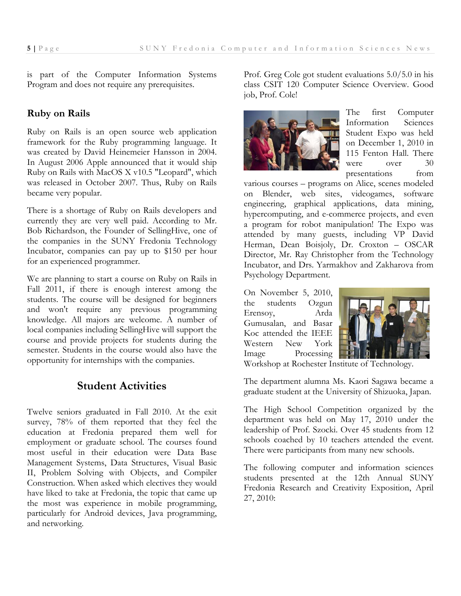is part of the Computer Information Systems Program and does not require any prerequisites.

#### **Ruby on Rails**

Ruby on Rails is an open source web application framework for the Ruby programming language. It was created by David Heinemeier Hansson in 2004. In August 2006 Apple announced that it would ship Ruby on Rails with MacOS X v10.5 "Leopard", which was released in October 2007. Thus, Ruby on Rails became very popular.

There is a shortage of Ruby on Rails developers and currently they are very well paid. According to Mr. Bob Richardson, the Founder of SellingHive, one of the companies in the SUNY Fredonia Technology Incubator, companies can pay up to \$150 per hour for an experienced programmer.

We are planning to start a course on Ruby on Rails in Fall 2011, if there is enough interest among the students. The course will be designed for beginners and won't require any previous programming knowledge. All majors are welcome. A number of local companies including SellingHive will support the course and provide projects for students during the semester. Students in the course would also have the opportunity for internships with the companies.

## **Student Activities**

Twelve seniors graduated in Fall 2010. At the exit survey, 78% of them reported that they feel the education at Fredonia prepared them well for employment or graduate school. The courses found most useful in their education were Data Base Management Systems, Data Structures, Visual Basic II, Problem Solving with Objects, and Compiler Construction. When asked which electives they would have liked to take at Fredonia, the topic that came up the most was experience in mobile programming, particularly for Android devices, Java programming, and networking.

Prof. Greg Cole got student evaluations 5.0/5.0 in his class CSIT 120 Computer Science Overview. Good job, Prof. Cole!



The first Computer Information Sciences Student Expo was held on December 1, 2010 in 115 Fenton Hall. There were over 30 presentations from

various courses – programs on Alice, scenes modeled on Blender, web sites, videogames, software engineering, graphical applications, data mining, hypercomputing, and e-commerce projects, and even a program for robot manipulation! The Expo was attended by many guests, including VP David Herman, Dean Boisjoly, Dr. Croxton – OSCAR Director, Mr. Ray Christopher from the Technology Incubator, and Drs. Yarmakhov and Zakharova from Psychology Department.

On November 5, 2010, the students Ozgun Erensoy, Arda Gumusalan, and Basar Koc attended the IEEE Western New York Image Processing



Workshop at Rochester Institute of Technology.

The department alumna Ms. Kaori Sagawa became a graduate student at the University of Shizuoka, Japan.

The High School Competition organized by the department was held on May 17, 2010 under the leadership of Prof. Szocki. Over 45 students from 12 schools coached by 10 teachers attended the event. There were participants from many new schools.

The following computer and information sciences students presented at the 12th Annual SUNY Fredonia Research and Creativity Exposition, April 27, 2010: